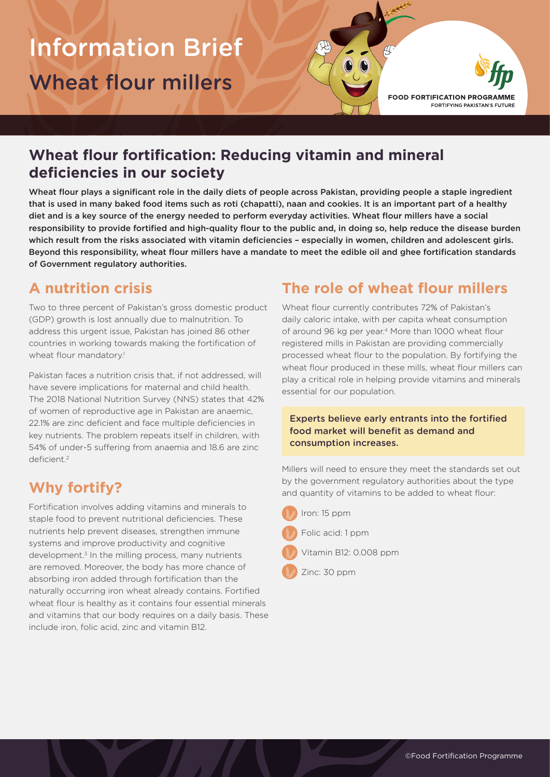# Information Brief Wheat flour millers



## **Wheat flour fortification: Reducing vitamin and mineral deficiencies in our society**

Wheat flour plays a significant role in the daily diets of people across Pakistan, providing people a staple ingredient that is used in many baked food items such as roti (chapatti), naan and cookies. It is an important part of a healthy diet and is a key source of the energy needed to perform everyday activities. Wheat flour millers have a social responsibility to provide fortified and high-quality flour to the public and, in doing so, help reduce the disease burden which result from the risks associated with vitamin deficiencies – especially in women, children and adolescent girls. Beyond this responsibility, wheat flour millers have a mandate to meet the edible oil and ghee fortification standards of Government regulatory authorities.

### **A nutrition crisis**

Two to three percent of Pakistan's gross domestic product (GDP) growth is lost annually due to malnutrition. To address this urgent issue, Pakistan has joined 86 other countries in working towards making the fortification of wheat flour mandatory.<sup>1</sup>

Pakistan faces a nutrition crisis that, if not addressed, will have severe implications for maternal and child health. The 2018 National Nutrition Survey (NNS) states that 42% of women of reproductive age in Pakistan are anaemic, 22.1% are zinc deficient and face multiple deficiencies in key nutrients. The problem repeats itself in children, with 54% of under-5 suffering from anaemia and 18.6 are zinc deficient.<sup>2</sup>

# **Why fortify?**

Fortification involves adding vitamins and minerals to staple food to prevent nutritional deficiencies. These nutrients help prevent diseases, strengthen immune systems and improve productivity and cognitive development.<sup>3</sup> In the milling process, many nutrients are removed. Moreover, the body has more chance of absorbing iron added through fortification than the naturally occurring iron wheat already contains. Fortified wheat flour is healthy as it contains four essential minerals and vitamins that our body requires on a daily basis. These include iron, folic acid, zinc and vitamin B12.

# **The role of wheat flour millers**

Wheat flour currently contributes 72% of Pakistan's daily caloric intake, with per capita wheat consumption of around 96 kg per year.<sup>4</sup> More than 1000 wheat flour registered mills in Pakistan are providing commercially processed wheat flour to the population. By fortifying the wheat flour produced in these mills, wheat flour millers can play a critical role in helping provide vitamins and minerals essential for our population.

Experts believe early entrants into the fortified food market will benefit as demand and consumption increases.

Millers will need to ensure they meet the standards set out by the government regulatory authorities about the type and quantity of vitamins to be added to wheat flour:

- Iron: 15 ppm Folic acid: 1 ppm
- Vitamin B12: 0.008 ppm
- Zinc: 30 ppm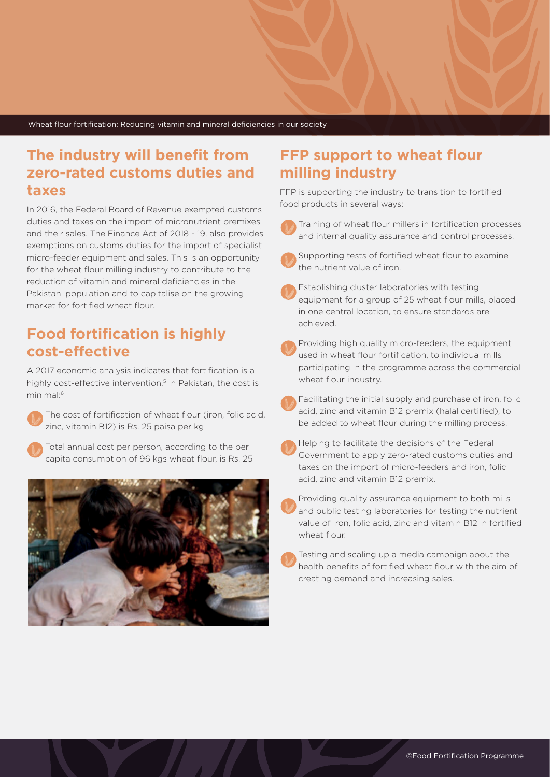Wheat flour fortification: Reducing vitamin and mineral deficiencies in our society

#### **The industry will benefit from zero-rated customs duties and taxes**

In 2016, the Federal Board of Revenue exempted customs duties and taxes on the import of micronutrient premixes and their sales. The Finance Act of 2018 - 19, also provides exemptions on customs duties for the import of specialist micro-feeder equipment and sales. This is an opportunity for the wheat flour milling industry to contribute to the reduction of vitamin and mineral deficiencies in the Pakistani population and to capitalise on the growing market for fortified wheat flour.

### **Food fortification is highly cost-effective**

A 2017 economic analysis indicates that fortification is a highly cost-effective intervention.<sup>5</sup> In Pakistan, the cost is minimal:<sup>6</sup>



 The cost of fortification of wheat flour (iron, folic acid, zinc, vitamin B12) is Rs. 25 paisa per kg

 Total annual cost per person, according to the per capita consumption of 96 kgs wheat flour, is Rs. 25



#### **FFP support to wheat flour milling industry**

FFP is supporting the industry to transition to fortified food products in several ways:

 Training of wheat flour millers in fortification processes and internal quality assurance and control processes.



- Establishing cluster laboratories with testing equipment for a group of 25 wheat flour mills, placed in one central location, to ensure standards are achieved.
- Providing high quality micro-feeders, the equipment used in wheat flour fortification, to individual mills participating in the programme across the commercial wheat flour industry.
- Facilitating the initial supply and purchase of iron, folic acid, zinc and vitamin B12 premix (halal certified), to be added to wheat flour during the milling process.
- Helping to facilitate the decisions of the Federal Government to apply zero-rated customs duties and taxes on the import of micro-feeders and iron, folic acid, zinc and vitamin B12 premix.
- Providing quality assurance equipment to both mills and public testing laboratories for testing the nutrient value of iron, folic acid, zinc and vitamin B12 in fortified wheat flour.
- Testing and scaling up a media campaign about the health benefits of fortified wheat flour with the aim of creating demand and increasing sales.